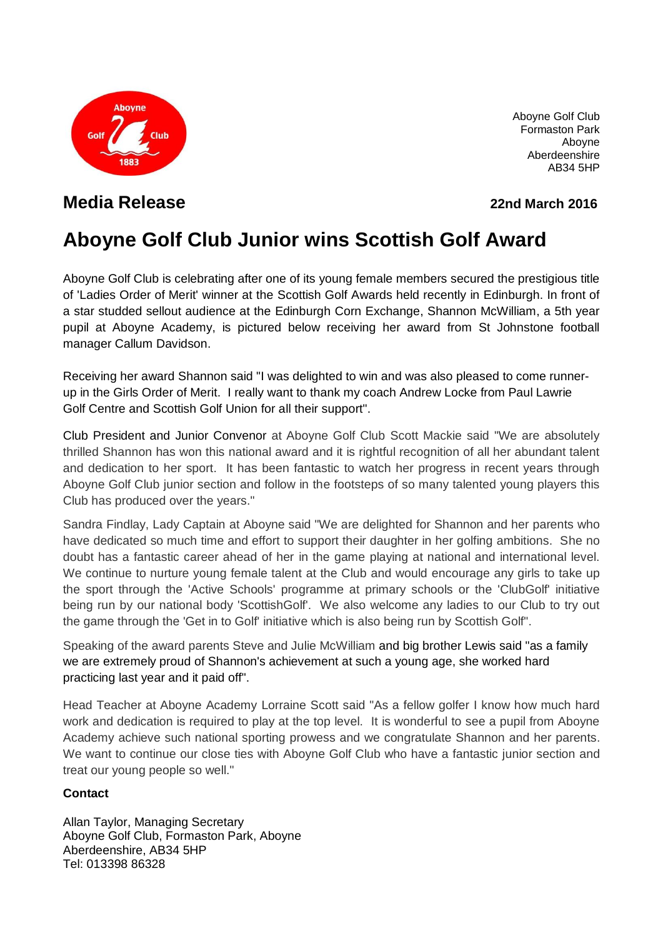

Aboyne Golf Club Formaston Park Aboyne Aberdeenshire AB34 5HP

# **Media Release 22nd March 2016**

# **Aboyne Golf Club Junior wins Scottish Golf Award**

Aboyne Golf Club is celebrating after one of its young female members secured the prestigious title of 'Ladies Order of Merit' winner at the Scottish Golf Awards held recently in Edinburgh. In front of a star studded sellout audience at the Edinburgh Corn Exchange, Shannon McWilliam, a 5th year pupil at Aboyne Academy, is pictured below receiving her award from St Johnstone football manager Callum Davidson.

Receiving her award Shannon said "I was delighted to win and was also pleased to come runnerup in the Girls Order of Merit. I really want to thank my coach Andrew Locke from Paul Lawrie Golf Centre and Scottish Golf Union for all their support".

Club President and Junior Convenor at Aboyne Golf Club Scott Mackie said "We are absolutely thrilled Shannon has won this national award and it is rightful recognition of all her abundant talent and dedication to her sport. It has been fantastic to watch her progress in recent years through Aboyne Golf Club junior section and follow in the footsteps of so many talented young players this Club has produced over the years."

Sandra Findlay, Lady Captain at Aboyne said "We are delighted for Shannon and her parents who have dedicated so much time and effort to support their daughter in her golfing ambitions. She no doubt has a fantastic career ahead of her in the game playing at national and international level. We continue to nurture young female talent at the Club and would encourage any girls to take up the sport through the 'Active Schools' programme at primary schools or the 'ClubGolf' initiative being run by our national body 'ScottishGolf'. We also welcome any ladies to our Club to try out the game through the 'Get in to Golf' initiative which is also being run by Scottish Golf".

Speaking of the award parents Steve and Julie McWilliam and big brother Lewis said "as a family we are extremely proud of Shannon's achievement at such a young age, she worked hard practicing last year and it paid off".

Head Teacher at Aboyne Academy Lorraine Scott said "As a fellow golfer I know how much hard work and dedication is required to play at the top level. It is wonderful to see a pupil from Aboyne Academy achieve such national sporting prowess and we congratulate Shannon and her parents. We want to continue our close ties with Aboyne Golf Club who have a fantastic junior section and treat our young people so well."

#### **Contact**

Allan Taylor, Managing Secretary Aboyne Golf Club, Formaston Park, Aboyne Aberdeenshire, AB34 5HP Tel: 013398 86328